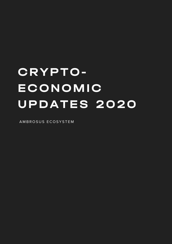# CRYPTO-ECONOMIC UPDATES 2020

A M B R O S U S E COSYSTEM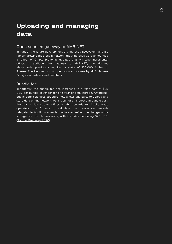## Uploading and managing data

#### Open-sourced gateway to AMB-NET

In light of the future development of Ambrosus Ecosystem, and it's rapidly growing blockchain network, the Ambrosus Core announced a rollout of Crypto-Economic updates that will take incremental effect. In addition, the gateway to AMB-NET, the Hermes Masternode, previously required a stake of 150,000 Amber to license. The Hermes is now open-sourced for use by all Ambrosus Ecosystem partners and members.

#### Bundle fee

Importantly, the bundle fee has increased to a fixed cost of \$25 USD per bundle in Amber for one year of data storage. Ambrosus' public permissionless structure now allows any party to upload and store data on the network. As a result of an increase in bundle cost, there is a downstream effect on the rewards for Apollo node operators: the formula to calculate the transaction rewards relegated to Apollo from each bundle shall reflect the change in the storage cost for Hermes node, with the price becoming \$25 USD. (Source: [Roadmap](https://tech.ambrosus.io/wp-content/uploads/2020/07/Roadmap-July-2020-UPDATED-VERSION.pdf) 2020)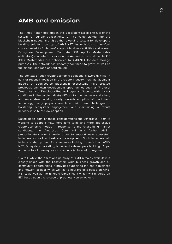### AMB and emission

The Amber token operates in this Ecosystem as: (1) The fuel of the system for bundle transactions, (2) The value staked into the blockchain nodes, and (3) as the rewarding system for developers building solutions on top of AMB-NET. Its emission is therefore closely linked to Ambrosus' stage of business activities and overall Ecosystem Development. To date, 218 Apollo Masternodes (validators) compete for space on the Ambrosus Network, while 415 Atlas Masternodes are onboarded to AMB-NET for data storage purposes. The network has smoothly continued to grow, as well as the amount and ratio of AMB staked.

The context of such crypto-economic additions is twofold: First, in light of recent innovation in the crypto industry, new management models of open-source blockchain ecosystems have created previously unknown development opportunities such as 'Protocol Treasuries' and 'Developer Bounty Programs'. Second, with market conditions in the crypto industry difficult for the past year and a half, and enterprises moving slowly towards adoption of blockchain technology many projects are faced with new challenges to bolstering ecosystem engagement and maintaining a robust network in spite of slow adoption.

Based upon both of these considerations the Ambrosus Team is working to adopt a new, more long term, and more aggressive crypto-economic model. In response to the challenging market conditions, the Ambrosus Core will mint further AMB proportionately over time—in order to support new ecosystem initiatives as well as business development. Such initiatives will include a startup fund for companies looking to launch on AMB-NET, Ecosystem marketing, bounties for developers building dApps, and a protocol treasury for a community Ambassador program.

Overall, while the emissions pathway of AMB remains difficult it is closely linked with the Ecosystem wide business growth and all community opportunities. It provides support to the entire business and network scalability, as well as to new projects based on AMB-NET's, as well as the Emerald Circuit team which will undergo an IEO based upon the release of proprietary smart objects.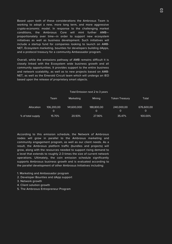Based upon both of these considerations the Ambrosus Team is working to adopt a new, more long term, and more aggressive crypto-economic model. In response to the challenging market conditions, the Ambrosus Core will mint further AMB proportionately over time—in order to support new ecosystem initiatives as well as business development. Such initiatives will include a startup fund for companies looking to launch on AMB-NET, Ecosystem marketing, bounties for developers building dApps, and a protocol treasury for a community Ambassador program.

Overall, while the emissions pathway of AMB remains difficult it is closely linked with the Ecosystem wide business growth and all community opportunities. It provides support to the entire business and network scalability, as well as to new projects based on AMB-NET, as well as the Emerald Circuit team which will undergo an IEO based upon the release of proprietary smart objects.

#### Total Emission next 2 to 3 years

|                   | Team            | Marketing   | <b>Mining</b>   | <b>Token Treasury</b> | Total           |
|-------------------|-----------------|-------------|-----------------|-----------------------|-----------------|
| Allocation        | 106.200.00<br>O | 141.600.000 | 188,800,00<br>O | 240,000,00<br>0       | 676,600,00<br>O |
| % of total supply | 15.70%          | 20.93%      | 27.90%          | 35.47%                | 100.00%         |

According to this emission schedule, the Network of Ambrosus nodes will grow in parallel to the Ambrosus marketing and community engagement program, as well as our client needs. As a result, the Ambrosus platform traffic (bundles and projects) will grow, along with the resources needed to support rising demand to a level that extends to roughly 2-3 times the size of current network operations. Ultimately, the coin emission schedule significantly supports Ambrosus business growth and is evaluated according to the parallel development of other Ambrosus Initiatives including:

- 1. Marketing and Ambassador program
- 2. Developer Bounties and dApp support
- 3. Network growth
- 4. Client solution growth
- 5. The Ambrosus Entrepreneur Program